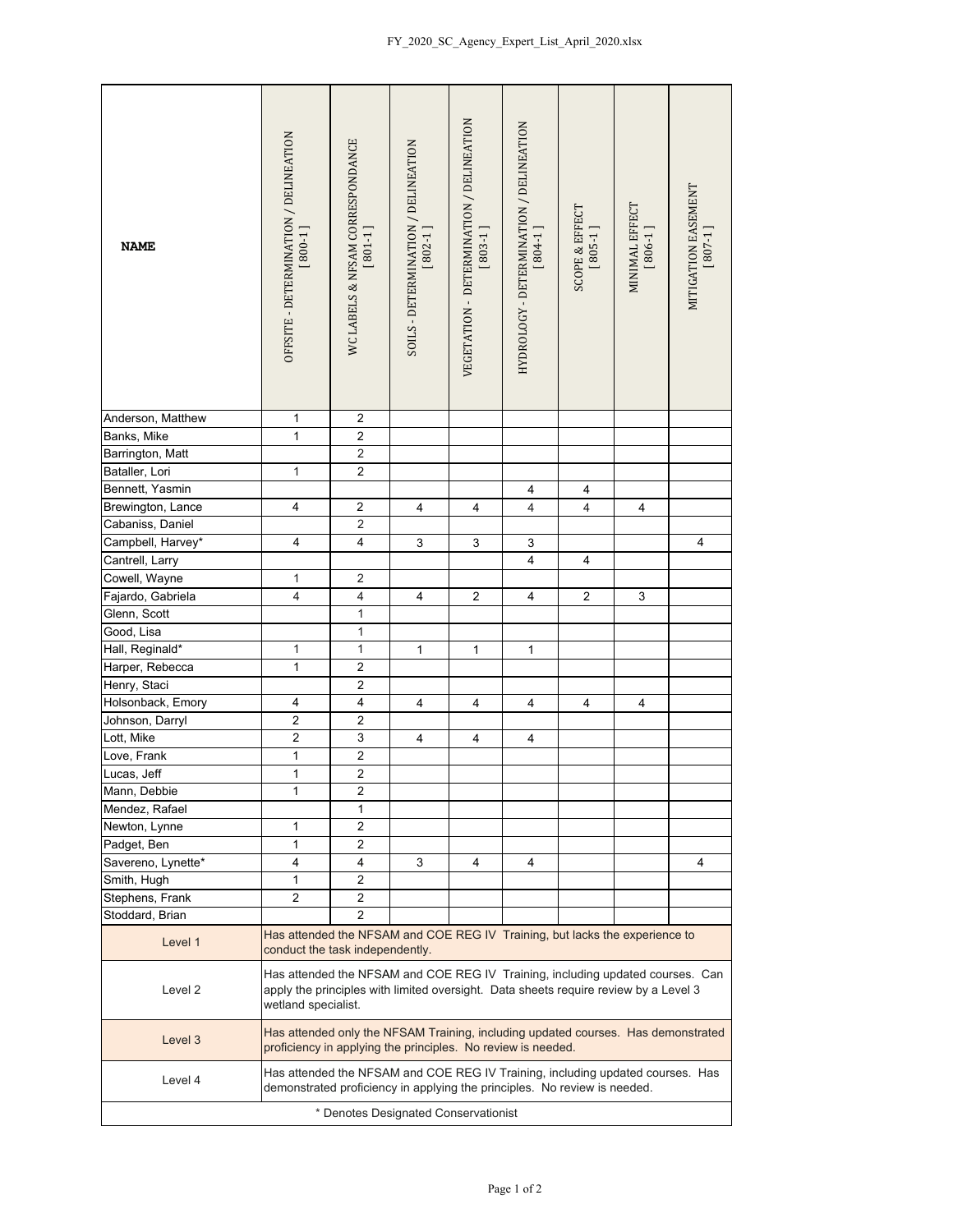| <b>NAME</b>                          | OFFSITE - DETERMINATION / DELINEATION<br>$[800-1]$                                                                                                                                            | WC LABELS & NFSAM CORRESPONDANCE<br>$[801-1]$ | SOILS - DETERMINATION / DELINEATION<br>$[802-1]$ | VEGETATION - DETERMINATION / DELINEATION<br>$[803-1]$ | HYDROLOGY - DETERMINATION / DELINEATION<br>$[804-1]$ | <b>SCOPE &amp; EFFECT</b><br>$[805-1]$ | MINIMAL EFFECT<br>$[806-1]$ | MITIGATION EASEMENT<br>$[807-1]$ |  |  |
|--------------------------------------|-----------------------------------------------------------------------------------------------------------------------------------------------------------------------------------------------|-----------------------------------------------|--------------------------------------------------|-------------------------------------------------------|------------------------------------------------------|----------------------------------------|-----------------------------|----------------------------------|--|--|
| Anderson, Matthew                    | 1                                                                                                                                                                                             | $\overline{2}$                                |                                                  |                                                       |                                                      |                                        |                             |                                  |  |  |
| Banks, Mike                          | 1                                                                                                                                                                                             | $\boldsymbol{2}$                              |                                                  |                                                       |                                                      |                                        |                             |                                  |  |  |
| Barrington, Matt                     |                                                                                                                                                                                               | $\overline{2}$                                |                                                  |                                                       |                                                      |                                        |                             |                                  |  |  |
| Bataller, Lori                       | $\mathbf{1}$                                                                                                                                                                                  | $\overline{2}$                                |                                                  |                                                       |                                                      |                                        |                             |                                  |  |  |
| Bennett, Yasmin                      |                                                                                                                                                                                               |                                               |                                                  |                                                       | 4                                                    | 4                                      |                             |                                  |  |  |
| Brewington, Lance                    | 4                                                                                                                                                                                             | $\boldsymbol{2}$                              | 4                                                | 4                                                     | $\overline{4}$                                       | $\overline{4}$                         | $\overline{4}$              |                                  |  |  |
| Cabaniss, Daniel                     |                                                                                                                                                                                               | $\mathbf 2$                                   |                                                  |                                                       |                                                      |                                        |                             |                                  |  |  |
| Campbell, Harvey*                    | $\overline{\mathbf{4}}$                                                                                                                                                                       | $\overline{4}$                                | 3                                                | 3                                                     | 3                                                    |                                        |                             | $\overline{\mathbf{4}}$          |  |  |
| Cantrell, Larry                      |                                                                                                                                                                                               |                                               |                                                  |                                                       | $\overline{4}$                                       | $\overline{\mathbf{4}}$                |                             |                                  |  |  |
| Cowell, Wayne                        | $\mathbf{1}$                                                                                                                                                                                  | $\sqrt{2}$                                    |                                                  |                                                       |                                                      |                                        |                             |                                  |  |  |
| Fajardo, Gabriela                    | $\overline{\mathbf{4}}$                                                                                                                                                                       | $\overline{\mathbf{4}}$                       | 4                                                | $\overline{2}$                                        | 4                                                    | $\overline{2}$                         | 3                           |                                  |  |  |
| Glenn, Scott                         |                                                                                                                                                                                               | $\mathbf{1}$                                  |                                                  |                                                       |                                                      |                                        |                             |                                  |  |  |
| Good, Lisa                           |                                                                                                                                                                                               | $\mathbf{1}$                                  |                                                  |                                                       |                                                      |                                        |                             |                                  |  |  |
| Hall, Reginald*                      | 1                                                                                                                                                                                             | $\mathbf 1$                                   | $\mathbf{1}$                                     | $\mathbf{1}$                                          | $\mathbf{1}$                                         |                                        |                             |                                  |  |  |
| Harper, Rebecca                      | $\mathbf{1}$                                                                                                                                                                                  | $\overline{2}$                                |                                                  |                                                       |                                                      |                                        |                             |                                  |  |  |
| Henry, Staci                         |                                                                                                                                                                                               | $\overline{2}$                                |                                                  |                                                       |                                                      |                                        |                             |                                  |  |  |
| Holsonback, Emory                    | 4                                                                                                                                                                                             | $\overline{4}$                                | $\overline{\mathbf{4}}$                          | $\overline{\mathbf{4}}$                               | $\overline{4}$                                       | $\overline{4}$                         | 4                           |                                  |  |  |
| Johnson, Darryl                      | $\mathbf 2$                                                                                                                                                                                   | $\overline{2}$                                |                                                  |                                                       |                                                      |                                        |                             |                                  |  |  |
| Lott, Mike                           | $\overline{\mathbf{c}}$                                                                                                                                                                       | 3                                             | 4                                                | 4                                                     | $\overline{\mathbf{4}}$                              |                                        |                             |                                  |  |  |
| Love, Frank                          | $\mathbf{1}$                                                                                                                                                                                  | $\overline{2}$                                |                                                  |                                                       |                                                      |                                        |                             |                                  |  |  |
| Lucas, Jeff                          | $\overline{1}$                                                                                                                                                                                | $\overline{2}$                                |                                                  |                                                       |                                                      |                                        |                             |                                  |  |  |
| Mann, Debbie                         | 1                                                                                                                                                                                             | $\overline{\mathbf{c}}$                       |                                                  |                                                       |                                                      |                                        |                             |                                  |  |  |
| Mendez, Rafael                       |                                                                                                                                                                                               | 1                                             |                                                  |                                                       |                                                      |                                        |                             |                                  |  |  |
| Newton, Lynne                        | 1                                                                                                                                                                                             | 2                                             |                                                  |                                                       |                                                      |                                        |                             |                                  |  |  |
| Padget, Ben                          | 1                                                                                                                                                                                             | $\overline{2}$                                |                                                  |                                                       |                                                      |                                        |                             |                                  |  |  |
| Savereno, Lynette*                   | 4                                                                                                                                                                                             | 4                                             | 3                                                | 4                                                     | 4                                                    |                                        |                             | 4                                |  |  |
| Smith, Hugh                          | 1                                                                                                                                                                                             | 2                                             |                                                  |                                                       |                                                      |                                        |                             |                                  |  |  |
| Stephens, Frank                      | $\overline{2}$                                                                                                                                                                                | $\overline{2}$                                |                                                  |                                                       |                                                      |                                        |                             |                                  |  |  |
| Stoddard, Brian                      |                                                                                                                                                                                               | 2                                             |                                                  |                                                       |                                                      |                                        |                             |                                  |  |  |
| Level 1                              | Has attended the NFSAM and COE REG IV Training, but lacks the experience to<br>conduct the task independently.                                                                                |                                               |                                                  |                                                       |                                                      |                                        |                             |                                  |  |  |
| Level 2                              | Has attended the NFSAM and COE REG IV Training, including updated courses. Can<br>apply the principles with limited oversight. Data sheets require review by a Level 3<br>wetland specialist. |                                               |                                                  |                                                       |                                                      |                                        |                             |                                  |  |  |
| Level 3                              | Has attended only the NFSAM Training, including updated courses. Has demonstrated<br>proficiency in applying the principles. No review is needed.                                             |                                               |                                                  |                                                       |                                                      |                                        |                             |                                  |  |  |
| Level 4                              | Has attended the NFSAM and COE REG IV Training, including updated courses. Has<br>demonstrated proficiency in applying the principles. No review is needed.                                   |                                               |                                                  |                                                       |                                                      |                                        |                             |                                  |  |  |
| * Denotes Designated Conservationist |                                                                                                                                                                                               |                                               |                                                  |                                                       |                                                      |                                        |                             |                                  |  |  |